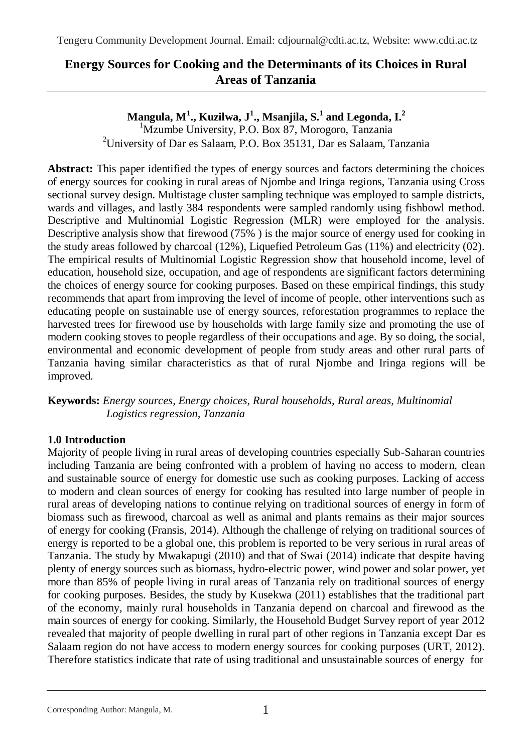# **Energy Sources for Cooking and the Determinants of its Choices in Rural Areas of Tanzania**

# **Mangula, M<sup>1</sup> ., Kuzilwa, J<sup>1</sup> ., Msanjila, S.<sup>1</sup> and Legonda, I.<sup>2</sup>**

<sup>1</sup>Mzumbe University, P.O. Box 87, Morogoro, Tanzania <sup>2</sup>University of Dar es Salaam, P.O. Box 35131, Dar es Salaam, Tanzania

**Abstract:** This paper identified the types of energy sources and factors determining the choices of energy sources for cooking in rural areas of Njombe and Iringa regions, Tanzania using Cross sectional survey design. Multistage cluster sampling technique was employed to sample districts, wards and villages, and lastly 384 respondents were sampled randomly using fishbowl method. Descriptive and Multinomial Logistic Regression (MLR) were employed for the analysis. Descriptive analysis show that firewood (75%) is the major source of energy used for cooking in the study areas followed by charcoal (12%), Liquefied Petroleum Gas (11%) and electricity (02). The empirical results of Multinomial Logistic Regression show that household income, level of education, household size, occupation, and age of respondents are significant factors determining the choices of energy source for cooking purposes. Based on these empirical findings, this study recommends that apart from improving the level of income of people, other interventions such as educating people on sustainable use of energy sources, reforestation programmes to replace the harvested trees for firewood use by households with large family size and promoting the use of modern cooking stoves to people regardless of their occupations and age. By so doing, the social, environmental and economic development of people from study areas and other rural parts of Tanzania having similar characteristics as that of rural Njombe and Iringa regions will be improved.

**Keywords:** *Energy sources, Energy choices, Rural households, Rural areas, Multinomial Logistics regression, Tanzania*

# **1.0 Introduction**

Majority of people living in rural areas of developing countries especially Sub-Saharan countries including Tanzania are being confronted with a problem of having no access to modern, clean and sustainable source of energy for domestic use such as cooking purposes. Lacking of access to modern and clean sources of energy for cooking has resulted into large number of people in rural areas of developing nations to continue relying on traditional sources of energy in form of biomass such as firewood, charcoal as well as animal and plants remains as their major sources of energy for cooking (Fransis, 2014). Although the challenge of relying on traditional sources of energy is reported to be a global one, this problem is reported to be very serious in rural areas of Tanzania. The study by Mwakapugi (2010) and that of Swai (2014) indicate that despite having plenty of energy sources such as biomass, hydro-electric power, wind power and solar power, yet more than 85% of people living in rural areas of Tanzania rely on traditional sources of energy for cooking purposes. Besides, the study by Kusekwa (2011) establishes that the traditional part of the economy, mainly rural households in Tanzania depend on charcoal and firewood as the main sources of energy for cooking. Similarly, the Household Budget Survey report of year 2012 revealed that majority of people dwelling in rural part of other regions in Tanzania except Dar es Salaam region do not have access to modern energy sources for cooking purposes (URT, 2012). Therefore statistics indicate that rate of using traditional and unsustainable sources of energy for

Corresponding Author: Mangula, M. 1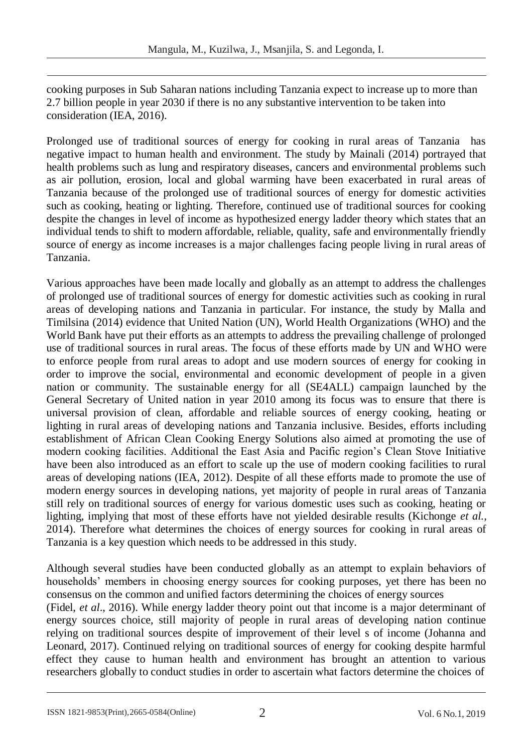cooking purposes in Sub Saharan nations including Tanzania expect to increase up to more than 2.7 billion people in year 2030 if there is no any substantive intervention to be taken into consideration (IEA, 2016).

Prolonged use of traditional sources of energy for cooking in rural areas of Tanzania has negative impact to human health and environment. The study by Mainali (2014) portrayed that health problems such as lung and respiratory diseases, cancers and environmental problems such as air pollution, erosion, local and global warming have been exacerbated in rural areas of Tanzania because of the prolonged use of traditional sources of energy for domestic activities such as cooking, heating or lighting. Therefore, continued use of traditional sources for cooking despite the changes in level of income as hypothesized energy ladder theory which states that an individual tends to shift to modern affordable, reliable, quality, safe and environmentally friendly source of energy as income increases is a major challenges facing people living in rural areas of Tanzania.

Various approaches have been made locally and globally as an attempt to address the challenges of prolonged use of traditional sources of energy for domestic activities such as cooking in rural areas of developing nations and Tanzania in particular. For instance, the study by Malla and Timilsina (2014) evidence that United Nation (UN), World Health Organizations (WHO) and the World Bank have put their efforts as an attempts to address the prevailing challenge of prolonged use of traditional sources in rural areas. The focus of these efforts made by UN and WHO were to enforce people from rural areas to adopt and use modern sources of energy for cooking in order to improve the social, environmental and economic development of people in a given nation or community. The sustainable energy for all (SE4ALL) campaign launched by the General Secretary of United nation in year 2010 among its focus was to ensure that there is universal provision of clean, affordable and reliable sources of energy cooking, heating or lighting in rural areas of developing nations and Tanzania inclusive. Besides, efforts including establishment of African Clean Cooking Energy Solutions also aimed at promoting the use of modern cooking facilities. Additional the East Asia and Pacific region's Clean Stove Initiative have been also introduced as an effort to scale up the use of modern cooking facilities to rural areas of developing nations (IEA, 2012). Despite of all these efforts made to promote the use of modern energy sources in developing nations, yet majority of people in rural areas of Tanzania still rely on traditional sources of energy for various domestic uses such as cooking, heating or lighting, implying that most of these efforts have not yielded desirable results (Kichonge *et al.,*  2014). Therefore what determines the choices of energy sources for cooking in rural areas of Tanzania is a key question which needs to be addressed in this study.

Although several studies have been conducted globally as an attempt to explain behaviors of households' members in choosing energy sources for cooking purposes, yet there has been no consensus on the common and unified factors determining the choices of energy sources

(Fidel, *et al*., 2016). While energy ladder theory point out that income is a major determinant of energy sources choice, still majority of people in rural areas of developing nation continue relying on traditional sources despite of improvement of their level s of income (Johanna and Leonard, 2017). Continued relying on traditional sources of energy for cooking despite harmful effect they cause to human health and environment has brought an attention to various researchers globally to conduct studies in order to ascertain what factors determine the choices of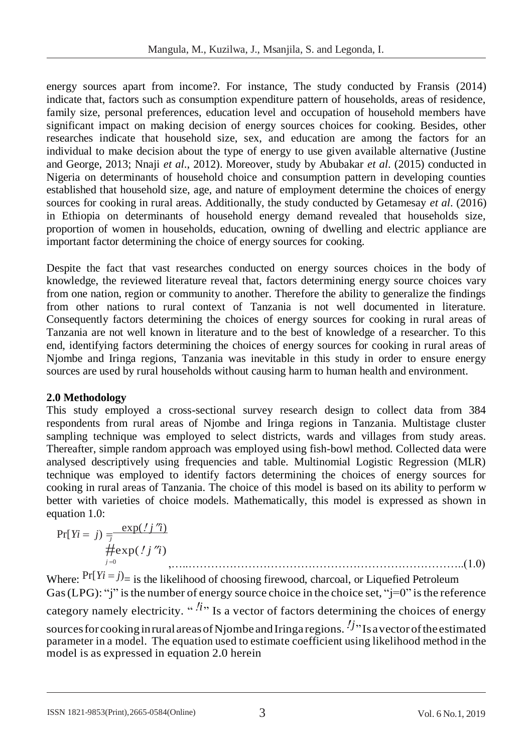energy sources apart from income?. For instance, The study conducted by Fransis (2014) indicate that, factors such as consumption expenditure pattern of households, areas of residence, family size, personal preferences, education level and occupation of household members have significant impact on making decision of energy sources choices for cooking. Besides, other researches indicate that household size, sex, and education are among the factors for an individual to make decision about the type of energy to use given available alternative (Justine and George, 2013; Nnaji *et al*., 2012). Moreover, study by Abubakar *et al*. (2015) conducted in Nigeria on determinants of household choice and consumption pattern in developing counties established that household size, age, and nature of employment determine the choices of energy sources for cooking in rural areas. Additionally, the study conducted by Getamesay *et al*. (2016) in Ethiopia on determinants of household energy demand revealed that households size, proportion of women in households, education, owning of dwelling and electric appliance are important factor determining the choice of energy sources for cooking.

Despite the fact that vast researches conducted on energy sources choices in the body of knowledge, the reviewed literature reveal that, factors determining energy source choices vary from one nation, region or community to another. Therefore the ability to generalize the findings from other nations to rural context of Tanzania is not well documented in literature. Consequently factors determining the choices of energy sources for cooking in rural areas of Tanzania are not well known in literature and to the best of knowledge of a researcher. To this end, identifying factors determining the choices of energy sources for cooking in rural areas of Njombe and Iringa regions, Tanzania was inevitable in this study in order to ensure energy sources are used by rural households without causing harm to human health and environment.

# **2.0 Methodology**

This study employed a cross-sectional survey research design to collect data from 384 respondents from rural areas of Njombe and Iringa regions in Tanzania. Multistage cluster sampling technique was employed to select districts, wards and villages from study areas. Thereafter, simple random approach was employed using fish-bowl method. Collected data were analysed descriptively using frequencies and table. Multinomial Logistic Regression (MLR) technique was employed to identify factors determining the choices of energy sources for cooking in rural areas of Tanzania. The choice of this model is based on its ability to perform w better with varieties of choice models. Mathematically, this model is expressed as shown in equation 1.0:

$$
\Pr[Yi = j) = \frac{\exp(jj'j')}{\# \exp(j'j'i)}\n \# \exp(j'j'i')
$$
\n(1.0)

Where:  $Pr[Y_i = j]$  is the likelihood of choosing firewood, charcoal, or Liquefied Petroleum Gas (LPG): "j" is the number of energy source choice in the choice set, " $j=0$ " is the reference category namely electricity. "<sup>*l*</sup>" Is a vector of factors determining the choices of energy sources for cooking in rural areas of Njombe and Iringa regions. <sup>*!j*</sup> Is a vector of the estimated parameter in a model. The equation used to estimate coefficient using likelihood method in the model is as expressed in equation 2.0 herein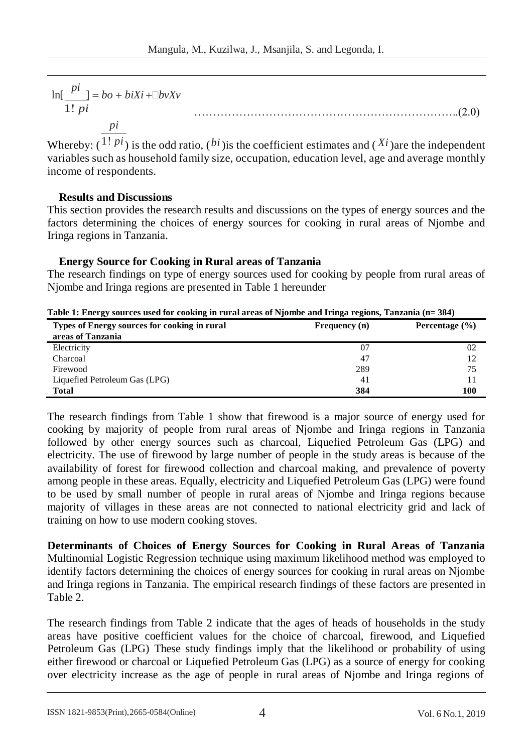$$
\ln[\frac{pi}{1! \ p i}]= bo + biXi + \Box bvXv
$$

*pi*

Whereby:  $(1! \pi i)$  is the odd ratio,  $(bi)$  is the coefficient estimates and  $(Xi)$  are the independent variables such as household family size, occupation, education level, age and average monthly income of respondents.

……………………………………………………………..(2.0)

### **Results and Discussions**

This section provides the research results and discussions on the types of energy sources and the factors determining the choices of energy sources for cooking in rural areas of Njombe and Iringa regions in Tanzania.

### **Energy Source for Cooking in Rural areas of Tanzania**

The research findings on type of energy sources used for cooking by people from rural areas of Njombe and Iringa regions are presented in Table 1 hereunder

| Table 1; Ellergy sources used for cooking in fural areas of informer and fringa regions, Tanzania (i= 564) |               |                    |  |  |  |
|------------------------------------------------------------------------------------------------------------|---------------|--------------------|--|--|--|
| Types of Energy sources for cooking in rural                                                               | Frequency (n) | Percentage $(\% )$ |  |  |  |
| areas of Tanzania                                                                                          |               |                    |  |  |  |
| Electricity                                                                                                | 07            | 02                 |  |  |  |
| Charcoal                                                                                                   | 47            |                    |  |  |  |
| Firewood                                                                                                   | 289           | 75                 |  |  |  |
| Liquefied Petroleum Gas (LPG)                                                                              | 41            |                    |  |  |  |
| <b>Total</b>                                                                                               | 384           | 100                |  |  |  |

**Table 1: Energy sources used for cooking in rural areas of Njombe and Iringa regions, Tanzania (n= 384)**

The research findings from Table 1 show that firewood is a major source of energy used for cooking by majority of people from rural areas of Njombe and Iringa regions in Tanzania followed by other energy sources such as charcoal, Liquefied Petroleum Gas (LPG) and electricity. The use of firewood by large number of people in the study areas is because of the availability of forest for firewood collection and charcoal making, and prevalence of poverty among people in these areas. Equally, electricity and Liquefied Petroleum Gas (LPG) were found to be used by small number of people in rural areas of Njombe and Iringa regions because majority of villages in these areas are not connected to national electricity grid and lack of training on how to use modern cooking stoves.

**Determinants of Choices of Energy Sources for Cooking in Rural Areas of Tanzania**  Multinomial Logistic Regression technique using maximum likelihood method was employed to identify factors determining the choices of energy sources for cooking in rural areas on Njombe and Iringa regions in Tanzania. The empirical research findings of these factors are presented in Table 2.

The research findings from Table 2 indicate that the ages of heads of households in the study areas have positive coefficient values for the choice of charcoal, firewood, and Liquefied Petroleum Gas (LPG) These study findings imply that the likelihood or probability of using either firewood or charcoal or Liquefied Petroleum Gas (LPG) as a source of energy for cooking over electricity increase as the age of people in rural areas of Njombe and Iringa regions of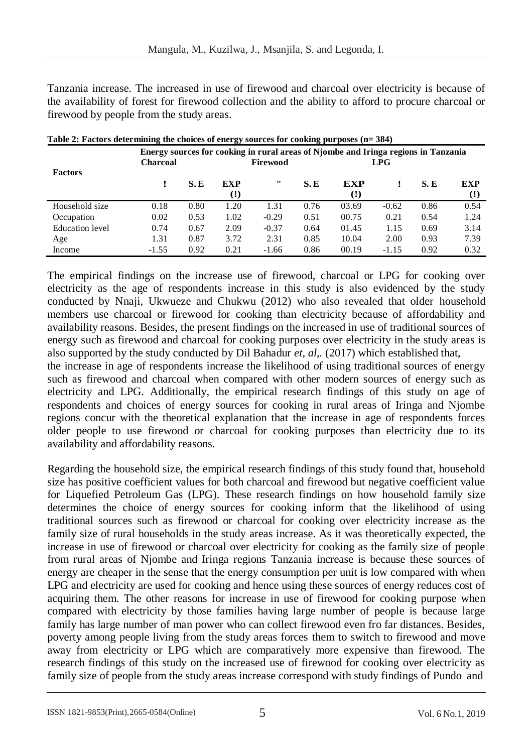Tanzania increase. The increased in use of firewood and charcoal over electricity is because of the availability of forest for firewood collection and the ability to afford to procure charcoal or firewood by people from the study areas.

| Table 2. Pactures upter mining the choices of energy sources for cooking purposes $(n-30+7)$ |                 |      |                        |          |      |                                                                                           |         |            |                        |
|----------------------------------------------------------------------------------------------|-----------------|------|------------------------|----------|------|-------------------------------------------------------------------------------------------|---------|------------|------------------------|
|                                                                                              | <b>Charcoal</b> |      | Firewood               |          |      | Energy sources for cooking in rural areas of Njombe and Iringa regions in Tanzania<br>LPG |         |            |                        |
| <b>Factors</b>                                                                               |                 | S.E  | <b>EXP</b><br>$\Omega$ | $\cdots$ | S.E  | <b>EXP</b><br>$\left( \mathbf{?}\right)$                                                  |         | <b>S.E</b> | <b>EXP</b><br>$\Omega$ |
| Household size                                                                               | 0.18            | 0.80 | 1.20                   | 1.31     | 0.76 | 03.69                                                                                     | $-0.62$ | 0.86       | 0.54                   |
| Occupation                                                                                   | 0.02            | 0.53 | 1.02                   | $-0.29$  | 0.51 | 00.75                                                                                     | 0.21    | 0.54       | 1.24                   |
| Education level                                                                              | 0.74            | 0.67 | 2.09                   | $-0.37$  | 0.64 | 01.45                                                                                     | 1.15    | 0.69       | 3.14                   |
| Age                                                                                          | 1.31            | 0.87 | 3.72                   | 2.31     | 0.85 | 10.04                                                                                     | 2.00    | 0.93       | 7.39                   |
| Income                                                                                       | $-1.55$         | 0.92 | 0.21                   | $-1.66$  | 0.86 | 00.19                                                                                     | $-1.15$ | 0.92       | 0.32                   |

|  | Table 2: Factors determining the choices of energy sources for cooking purposes (n= 384) |
|--|------------------------------------------------------------------------------------------|
|  |                                                                                          |

The empirical findings on the increase use of firewood, charcoal or LPG for cooking over electricity as the age of respondents increase in this study is also evidenced by the study conducted by Nnaji, Ukwueze and Chukwu (2012) who also revealed that older household members use charcoal or firewood for cooking than electricity because of affordability and availability reasons. Besides, the present findings on the increased in use of traditional sources of energy such as firewood and charcoal for cooking purposes over electricity in the study areas is also supported by the study conducted by Dil Bahadur *et, al,.* (2017) which established that,

the increase in age of respondents increase the likelihood of using traditional sources of energy such as firewood and charcoal when compared with other modern sources of energy such as electricity and LPG. Additionally, the empirical research findings of this study on age of respondents and choices of energy sources for cooking in rural areas of Iringa and Njombe regions concur with the theoretical explanation that the increase in age of respondents forces older people to use firewood or charcoal for cooking purposes than electricity due to its availability and affordability reasons.

Regarding the household size, the empirical research findings of this study found that, household size has positive coefficient values for both charcoal and firewood but negative coefficient value for Liquefied Petroleum Gas (LPG). These research findings on how household family size determines the choice of energy sources for cooking inform that the likelihood of using traditional sources such as firewood or charcoal for cooking over electricity increase as the family size of rural households in the study areas increase. As it was theoretically expected, the increase in use of firewood or charcoal over electricity for cooking as the family size of people from rural areas of Njombe and Iringa regions Tanzania increase is because these sources of energy are cheaper in the sense that the energy consumption per unit is low compared with when LPG and electricity are used for cooking and hence using these sources of energy reduces cost of acquiring them. The other reasons for increase in use of firewood for cooking purpose when compared with electricity by those families having large number of people is because large family has large number of man power who can collect firewood even fro far distances. Besides, poverty among people living from the study areas forces them to switch to firewood and move away from electricity or LPG which are comparatively more expensive than firewood. The research findings of this study on the increased use of firewood for cooking over electricity as family size of people from the study areas increase correspond with study findings of Pundo and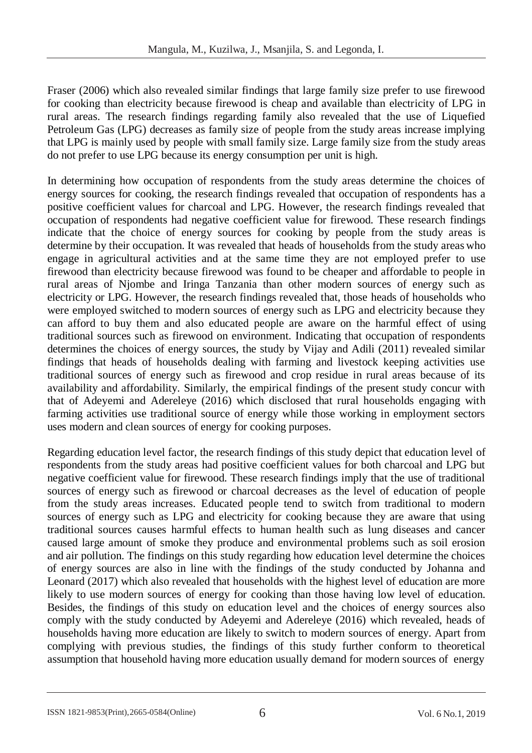Fraser (2006) which also revealed similar findings that large family size prefer to use firewood for cooking than electricity because firewood is cheap and available than electricity of LPG in rural areas. The research findings regarding family also revealed that the use of Liquefied Petroleum Gas (LPG) decreases as family size of people from the study areas increase implying that LPG is mainly used by people with small family size. Large family size from the study areas do not prefer to use LPG because its energy consumption per unit is high.

In determining how occupation of respondents from the study areas determine the choices of energy sources for cooking, the research findings revealed that occupation of respondents has a positive coefficient values for charcoal and LPG. However, the research findings revealed that occupation of respondents had negative coefficient value for firewood. These research findings indicate that the choice of energy sources for cooking by people from the study areas is determine by their occupation. It was revealed that heads of households from the study areas who engage in agricultural activities and at the same time they are not employed prefer to use firewood than electricity because firewood was found to be cheaper and affordable to people in rural areas of Njombe and Iringa Tanzania than other modern sources of energy such as electricity or LPG. However, the research findings revealed that, those heads of households who were employed switched to modern sources of energy such as LPG and electricity because they can afford to buy them and also educated people are aware on the harmful effect of using traditional sources such as firewood on environment. Indicating that occupation of respondents determines the choices of energy sources, the study by Vijay and Adili (2011) revealed similar findings that heads of households dealing with farming and livestock keeping activities use traditional sources of energy such as firewood and crop residue in rural areas because of its availability and affordability. Similarly, the empirical findings of the present study concur with that of Adeyemi and Adereleye (2016) which disclosed that rural households engaging with farming activities use traditional source of energy while those working in employment sectors uses modern and clean sources of energy for cooking purposes.

Regarding education level factor, the research findings of this study depict that education level of respondents from the study areas had positive coefficient values for both charcoal and LPG but negative coefficient value for firewood. These research findings imply that the use of traditional sources of energy such as firewood or charcoal decreases as the level of education of people from the study areas increases. Educated people tend to switch from traditional to modern sources of energy such as LPG and electricity for cooking because they are aware that using traditional sources causes harmful effects to human health such as lung diseases and cancer caused large amount of smoke they produce and environmental problems such as soil erosion and air pollution. The findings on this study regarding how education level determine the choices of energy sources are also in line with the findings of the study conducted by Johanna and Leonard (2017) which also revealed that households with the highest level of education are more likely to use modern sources of energy for cooking than those having low level of education. Besides, the findings of this study on education level and the choices of energy sources also comply with the study conducted by Adeyemi and Adereleye (2016) which revealed, heads of households having more education are likely to switch to modern sources of energy. Apart from complying with previous studies, the findings of this study further conform to theoretical assumption that household having more education usually demand for modern sources of energy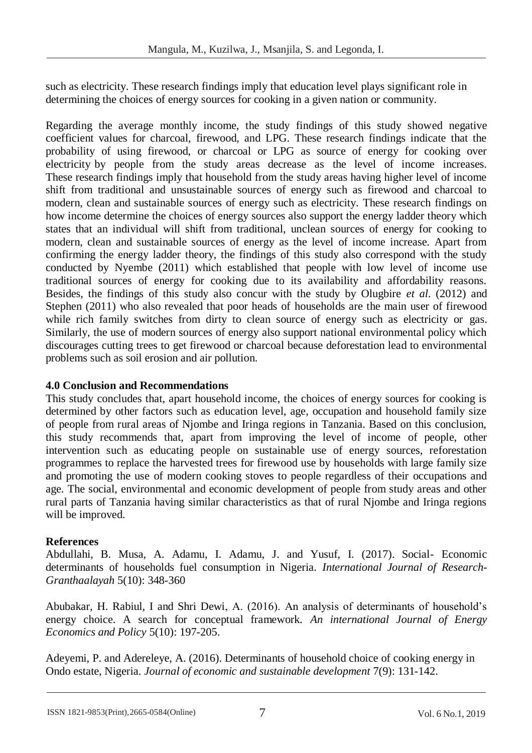such as electricity. These research findings imply that education level plays significant role in determining the choices of energy sources for cooking in a given nation or community.

Regarding the average monthly income, the study findings of this study showed negative coefficient values for charcoal, firewood, and LPG. These research findings indicate that the probability of using firewood, or charcoal or LPG as source of energy for cooking over electricity by people from the study areas decrease as the level of income increases. These research findings imply that household from the study areas having higher level of income shift from traditional and unsustainable sources of energy such as firewood and charcoal to modern, clean and sustainable sources of energy such as electricity. These research findings on how income determine the choices of energy sources also support the energy ladder theory which states that an individual will shift from traditional, unclean sources of energy for cooking to modern, clean and sustainable sources of energy as the level of income increase. Apart from confirming the energy ladder theory, the findings of this study also correspond with the study conducted by Nyembe (2011) which established that people with low level of income use traditional sources of energy for cooking due to its availability and affordability reasons. Besides, the findings of this study also concur with the study by Olugbire *et al*. (2012) and Stephen (2011) who also revealed that poor heads of households are the main user of firewood while rich family switches from dirty to clean source of energy such as electricity or gas. Similarly, the use of modern sources of energy also support national environmental policy which discourages cutting trees to get firewood or charcoal because deforestation lead to environmental problems such as soil erosion and air pollution.

# **4.0 Conclusion and Recommendations**

This study concludes that, apart household income, the choices of energy sources for cooking is determined by other factors such as education level, age, occupation and household family size of people from rural areas of Njombe and Iringa regions in Tanzania. Based on this conclusion, this study recommends that, apart from improving the level of income of people, other intervention such as educating people on sustainable use of energy sources, reforestation programmes to replace the harvested trees for firewood use by households with large family size and promoting the use of modern cooking stoves to people regardless of their occupations and age. The social, environmental and economic development of people from study areas and other rural parts of Tanzania having similar characteristics as that of rural Njombe and Iringa regions will be improved.

# **References**

Abdullahi, B. Musa, A. Adamu, I. Adamu, J. and Yusuf, I. (2017). Social- Economic determinants of households fuel consumption in Nigeria. *International Journal of Research-Granthaalayah* 5(10): 348-360

Abubakar, H. Rabiul, I and Shri Dewi, A. (2016). An analysis of determinants of household's energy choice. A search for conceptual framework. *An international Journal of Energy Economics and Policy* 5(10): 197-205.

Adeyemi, P. and Adereleye, A. (2016). Determinants of household choice of cooking energy in Ondo estate, Nigeria. *Journal of economic and sustainable development* 7(9): 131-142.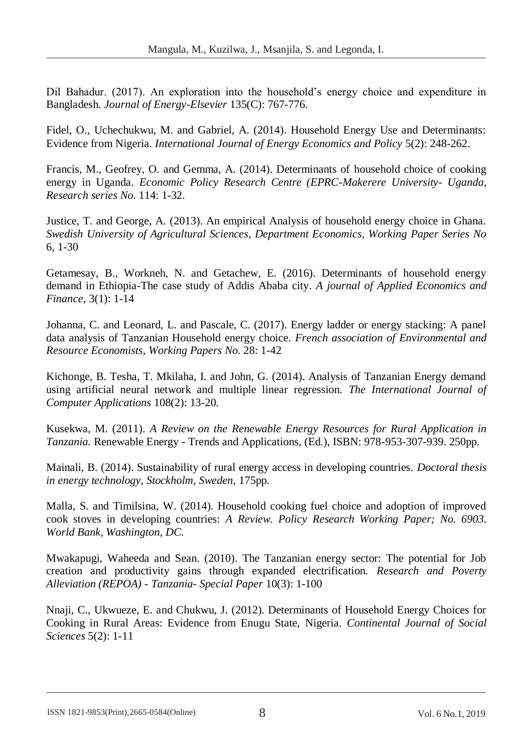Dil Bahadur. (2017). An exploration into the household's energy choice and expenditure in Bangladesh. *Journal of Energy-Elsevier* 135(C): 767-776.

Fidel, O., Uchechukwu, M. and Gabriel, A. (2014). Household Energy Use and Determinants: Evidence from Nigeria. *International Journal of Energy Economics and Policy* 5(2): 248-262.

Francis, M., Geofrey, O. and Gemma, A. (2014). Determinants of household choice of cooking energy in Uganda. *Economic Policy Research Centre (EPRC-Makerere University- Uganda, Research series No.* 114: 1-32.

Justice, T. and George, A. (2013). An empirical Analysis of household energy choice in Ghana. *Swedish University of Agricultural Sciences, Department Economics, Working Paper Series No*  6, 1-30

Getamesay, B., Workneh, N. and Getachew, E. (2016). Determinants of household energy demand in Ethiopia-The case study of Addis Ababa city. *A journal of Applied Economics and Finance,* 3(1): 1-14

Johanna, C. and Leonard, L. and Pascale, C. (2017). Energy ladder or energy stacking: A panel data analysis of Tanzanian Household energy choice. *French association of Environmental and Resource Economists, Working Papers No.* 28: 1-42

Kichonge, B. Tesha, T. Mkilaha, I. and John, G. (2014). Analysis of Tanzanian Energy demand using artificial neural network and multiple linear regression. *The International Journal of Computer Applications* 108(2): 13-20*.*

Kusekwa, M. (2011). *A Review on the Renewable Energy Resources for Rural Application in Tanzania.* Renewable Energy - Trends and Applications, (Ed.), ISBN: 978-953-307-939. 250pp.

Mainali, B. (2014). Sustainability of rural energy access in developing countries. *Doctoral thesis in energy technology, Stockholm, Sweden,* 175pp.

Malla, S. and Timilsina, W. (2014). Household cooking fuel choice and adoption of improved cook stoves in developing countries: *A Review. Policy Research Working Paper; No. 6903. World Bank, Washington, DC.*

Mwakapugi, Waheeda and Sean. (2010). The Tanzanian energy sector: The potential for Job creation and productivity gains through expanded electrification. *Research and Poverty Alleviation (REPOA) - Tanzania- Special Paper* 10(3): 1-100

Nnaji, C., Ukwueze, E. and Chukwu, J. (2012). Determinants of Household Energy Choices for Cooking in Rural Areas: Evidence from Enugu State, Nigeria*. Continental Journal of Social Sciences* 5(2): 1-11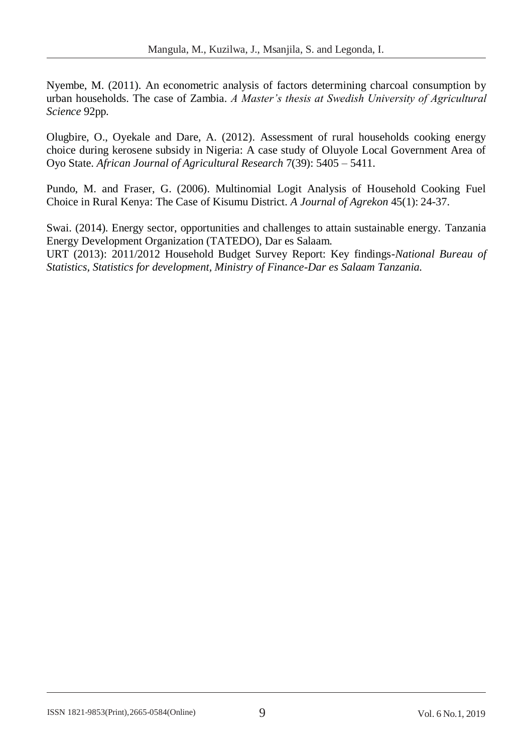Nyembe, M. (2011). An econometric analysis of factors determining charcoal consumption by urban households. The case of Zambia. *A Master's thesis at Swedish University of Agricultural Science* 92pp.

Olugbire, O., Oyekale and Dare, A. (2012). Assessment of rural households cooking energy choice during kerosene subsidy in Nigeria: A case study of Oluyole Local Government Area of Oyo State. *African Journal of Agricultural Research* 7(39): 5405 – 5411.

Pundo, M. and Fraser, G. (2006). Multinomial Logit Analysis of Household Cooking Fuel Choice in Rural Kenya: The Case of Kisumu District. *A Journal of Agrekon* 45(1): 24-37.

Swai. (2014). Energy sector, opportunities and challenges to attain sustainable energy. Tanzania Energy Development Organization (TATEDO), Dar es Salaam. URT (2013): 2011/2012 Household Budget Survey Report: Key findings-*National Bureau of Statistics, Statistics for development, Ministry of Finance-Dar es Salaam Tanzania.*